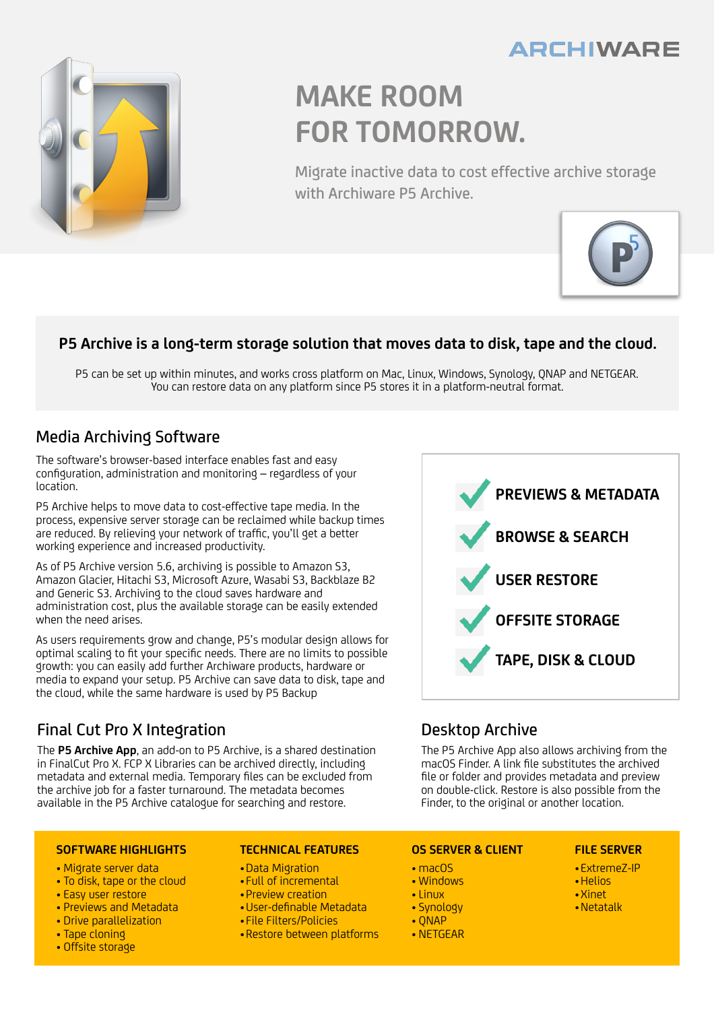## **ARCHIWARE**



# **MAKE ROOM FOR TOMORROW.**

Migrate inactive data to cost effective archive storage with Archiware P5 Archive.



### **P5 Archive is a long-term storage solution that moves data to disk, tape and the cloud.**

P5 can be set up within minutes, and works cross platform on Mac, Linux, Windows, Synology, QNAP and NETGEAR. You can restore data on any platform since P5 stores it in a platform-neutral format.

### Media Archiving Software

The software's browser-based interface enables fast and easy configuration, administration and monitoring – regardless of your location.

P5 Archive helps to move data to cost-effective tape media. In the process, expensive server storage can be reclaimed while backup times are reduced. By relieving your network of traffic, you'll get a better working experience and increased productivity.

As of P5 Archive version 5.6, archiving is possible to Amazon S3, Amazon Glacier, Hitachi S3, Microsoft Azure, Wasabi S3, Backblaze B2 and Generic S3. Archiving to the cloud saves hardware and administration cost, plus the available storage can be easily extended when the need arises.

As users requirements grow and change, P5's modular design allows for optimal scaling to fit your specific needs. There are no limits to possible growth: you can easily add further Archiware products, hardware or media to expand your setup. P5 Archive can save data to disk, tape and the cloud, while the same hardware is used by P5 Backup

### Final Cut Pro X Integration

The **P5 Archive App**, an add-on to P5 Archive, is a shared destination in FinalCut Pro X. FCP X Libraries can be archived directly, including metadata and external media. Temporary files can be excluded from the archive job for a faster turnaround. The metadata becomes available in the P5 Archive catalogue for searching and restore.

#### **SOFTWARE HIGHLIGHTS**

- Migrate server data
- To disk, tape or the cloud
- Easy user restore
- Previews and Metadata
- Drive parallelization
- Tape cloning
- Offsite storage

#### **TECHNICAL FEATURES**

- •Data Migration
- Full of incremental
- Preview creation
- •User-definable Metadata
- File Filters/Policies
- •Restore between platforms



### Desktop Archive

The P5 Archive App also allows archiving from the macOS Finder. A link file substitutes the archived file or folder and provides metadata and preview on double-click. Restore is also possible from the Finder, to the original or another location.

### **OS SERVER & CLIENT**

- macOS
- Windows
- Linux
- Synology
- QNAP
- NETGEAR

### **FILE SERVER**

- •ExtremeZ-IP
- •Helios
- •Xinet
- •Netatalk